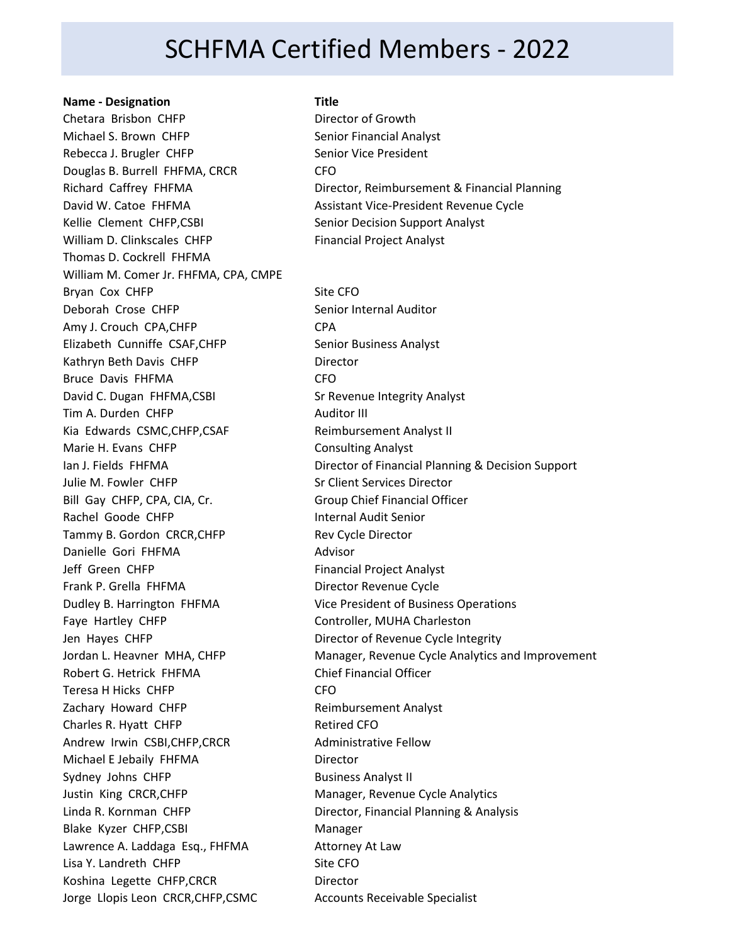## SCHFMA Certified Members - 2022

### **Name - Designation Title**

Chetara Brisbon CHFP Director of Growth Michael S. Brown CHFP Senior Financial Analyst Rebecca J. Brugler CHFP Senior Vice President Douglas B. Burrell FHFMA, CRCR CFO David W. Catoe FHFMA Assistant Vice-President Revenue Cycle Kellie Clement CHFP, CSBI Senior Decision Support Analyst William D. Clinkscales CHFP Financial Project Analyst Thomas D. Cockrell FHFMA William M. Comer Jr. FHFMA, CPA, CMPE Bryan Cox CHFP Site CFO Deborah Crose CHFP Senior Internal Auditor Amy J. Crouch CPA, CHFP CPA Elizabeth Cunniffe CSAF, CHFP Senior Business Analyst Kathryn Beth Davis CHFP Director Bruce Davis FHFMA CFO David C. Dugan FHFMA,CSBI Sr Revenue Integrity Analyst Tim A. Durden CHFP Auditor III Kia Edwards CSMC, CHFP, CSAF Reimbursement Analyst II Marie H. Evans CHFP Consulting Analyst Julie M. Fowler CHFP Subset of Strategies Client Services Director Bill Gay CHFP, CPA, CIA, Cr. **Group Chief Financial Officer** Rachel Goode CHFP **Internal Audit Senior** Tammy B. Gordon CRCR, CHFP Rev Cycle Director Danielle Gori FHFMA **Advisor** Jeff Green CHFP Financial Project Analyst Frank P. Grella FHFMA Director Revenue Cycle Dudley B. Harrington FHFMA Vice President of Business Operations Faye Hartley CHFP CONTECT Controller, MUHA Charleston Jen Hayes CHFP Director of Revenue Cycle Integrity Robert G. Hetrick FHFMA Chief Financial Officer Teresa H Hicks CHFP CFO Zachary Howard CHFP Reimbursement Analyst Charles R. Hyatt CHFP Retired CFO Andrew Irwin CSBI, CHFP, CRCR Administrative Fellow Michael E Jebaily FHFMA Director Sydney Johns CHFP Business Analyst II Justin King CRCR, CHFP Manager, Revenue Cycle Analytics Linda R. Kornman CHFP **Director, Financial Planning & Analysis** Blake Kyzer CHFP, CSBI Manager Lawrence A. Laddaga Esq., FHFMA Attorney At Law Lisa Y. Landreth CHFP Site CFO Koshina Legette CHFP, CRCR Director Jorge Llopis Leon CRCR, CHFP, CSMC Accounts Receivable Specialist

Richard Caffrey FHFMA Director, Reimbursement & Financial Planning

Ian J. Fields FHFMA Director of Financial Planning & Decision Support Jordan L. Heavner MHA, CHFP Manager, Revenue Cycle Analytics and Improvement